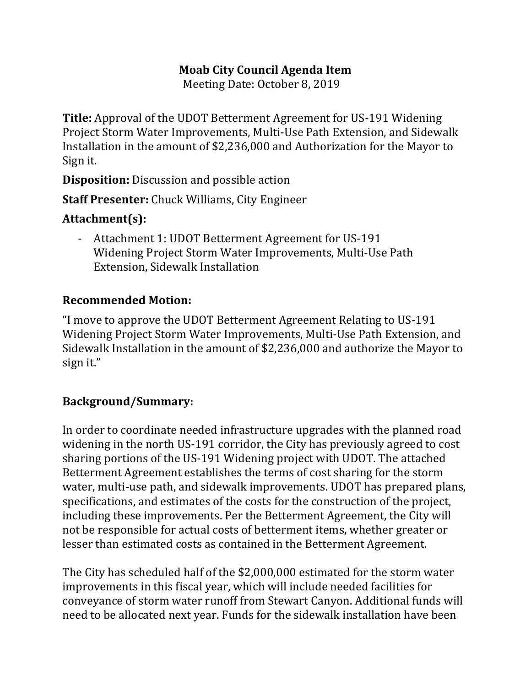## **Moab City Council Agenda Item**

Meeting Date: October 8, 2019

**Title:** Approval of the UDOT Betterment Agreement for US-191 Widening Project Storm Water Improvements, Multi-Use Path Extension, and Sidewalk Installation in the amount of \$2,236,000 and Authorization for the Mayor to Sign it.

**Disposition:** Discussion and possible action

**Staff Presenter:** Chuck Williams, City Engineer

## **Attachment(s):**

- Attachment 1: UDOT Betterment Agreement for US-191 Widening Project Storm Water Improvements, Multi-Use Path Extension, Sidewalk Installation

## **Recommended Motion:**

"I move to approve the UDOT Betterment Agreement Relating to US-191 Widening Project Storm Water Improvements, Multi-Use Path Extension, and Sidewalk Installation in the amount of \$2,236,000 and authorize the Mayor to sign it."

## **Background/Summary:**

In order to coordinate needed infrastructure upgrades with the planned road widening in the north US-191 corridor, the City has previously agreed to cost sharing portions of the US-191 Widening project with UDOT. The attached Betterment Agreement establishes the terms of cost sharing for the storm water, multi-use path, and sidewalk improvements. UDOT has prepared plans, specifications, and estimates of the costs for the construction of the project, including these improvements. Per the Betterment Agreement, the City will not be responsible for actual costs of betterment items, whether greater or lesser than estimated costs as contained in the Betterment Agreement.

The City has scheduled half of the \$2,000,000 estimated for the storm water improvements in this fiscal year, which will include needed facilities for conveyance of storm water runoff from Stewart Canyon. Additional funds will need to be allocated next year. Funds for the sidewalk installation have been